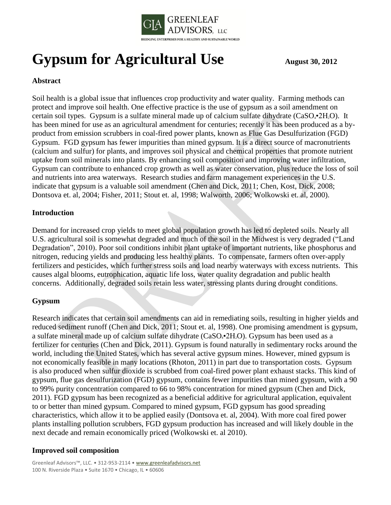

# **Gypsum for Agricultural Use** August 30, 2012

# **Abstract**

Soil health is a global issue that influences crop productivity and water quality. Farming methods can protect and improve soil health. One effective practice is the use of gypsum as a soil amendment on certain soil types. Gypsum is a sulfate mineral made up of calcium sulfate dihydrate ( $CaSO_4\text{-}2H_2O$ ). It has been mined for use as an agricultural amendment for centuries; recently it has been produced as a byproduct from emission scrubbers in coal-fired power plants, known as Flue Gas Desulfurization (FGD) Gypsum. FGD gypsum has fewer impurities than mined gypsum. It is a direct source of macronutrients (calcium and sulfur) for plants, and improves soil physical and chemical properties that promote nutrient uptake from soil minerals into plants. By enhancing soil composition and improving water infiltration, Gypsum can contribute to enhanced crop growth as well as water conservation, plus reduce the loss of soil and nutrients into area waterways. Research studies and farm management experiences in the U.S. indicate that gypsum is a valuable soil amendment (Chen and Dick, 2011; Chen, Kost, Dick, 2008; Dontsova et. al, 2004; Fisher, 2011; Stout et. al, 1998; Walworth, 2006; Wolkowski et. al, 2000).

## **Introduction**

Demand for increased crop yields to meet global population growth has led to depleted soils. Nearly all U.S. agricultural soil is somewhat degraded and much of the soil in the Midwest is very degraded ("Land Degradation", 2010). Poor soil conditions inhibit plant uptake of important nutrients, like phosphorus and nitrogen, reducing yields and producing less healthy plants. To compensate, farmers often over-apply fertilizers and pesticides, which further stress soils and load nearby waterways with excess nutrients. This causes algal blooms, eutrophication, aquatic life loss, water quality degradation and public health concerns. Additionally, degraded soils retain less water, stressing plants during drought conditions.

## **Gypsum**

Research indicates that certain soil amendments can aid in remediating soils, resulting in higher yields and reduced sediment runoff (Chen and Dick, 2011; Stout et. al, 1998). One promising amendment is gypsum, a sulfate mineral made up of calcium sulfate dihydrate  $(CaSO_4\text{-}2H_2O)$ . Gypsum has been used as a fertilizer for centuries (Chen and Dick, 2011). Gypsum is found naturally in sedimentary rocks around the world, including the United States, which has several active gypsum mines. However, mined gypsum is not economically feasible in many locations (Rhoton, 2011) in part due to transportation costs. Gypsum is also produced when sulfur dioxide is scrubbed from coal-fired power plant exhaust stacks. This kind of gypsum, flue gas desulfurization (FGD) gypsum, contains fewer impurities than mined gypsum, with a 90 to 99% purity concentration compared to 66 to 98% concentration for mined gypsum (Chen and Dick, 2011). FGD gypsum has been recognized as a beneficial additive for agricultural application, equivalent to or better than mined gypsum. Compared to mined gypsum, FGD gypsum has good spreading characteristics, which allow it to be applied easily (Dontsova et. al, 2004). With more coal fired power plants installing pollution scrubbers, FGD gypsum production has increased and will likely double in the next decade and remain economically priced (Wolkowski et. al 2010).

## **Improved soil composition**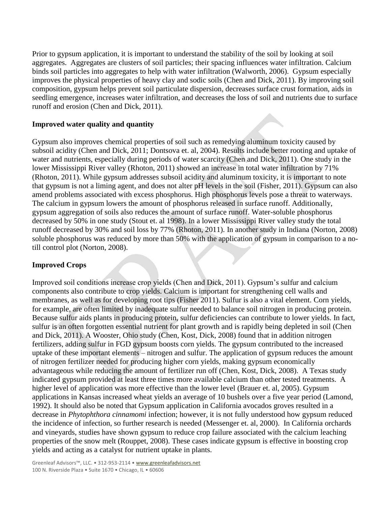Prior to gypsum application, it is important to understand the stability of the soil by looking at soil aggregates. Aggregates are clusters of soil particles; their spacing influences water infiltration. Calcium binds soil particles into aggregates to help with water infiltration (Walworth, 2006). Gypsum especially improves the physical properties of heavy clay and sodic soils (Chen and Dick, 2011). By improving soil composition, gypsum helps prevent soil particulate dispersion, decreases surface crust formation, aids in seedling emergence, increases water infiltration, and decreases the loss of soil and nutrients due to surface runoff and erosion (Chen and Dick, 2011).

#### **Improved water quality and quantity**

Gypsum also improves chemical properties of soil such as remedying aluminum toxicity caused by subsoil acidity (Chen and Dick, 2011; Dontsova et. al, 2004). Results include better rooting and uptake of water and nutrients, especially during periods of water scarcity (Chen and Dick, 2011). One study in the lower Mississippi River valley (Rhoton, 2011) showed an increase in total water infiltration by 71% (Rhoton, 2011). While gypsum addresses subsoil acidity and aluminum toxicity, it is important to note that gypsum is not a liming agent, and does not alter pH levels in the soil (Fisher, 2011). Gypsum can also amend problems associated with excess phosphorus. High phosphorus levels pose a threat to waterways. The calcium in gypsum lowers the amount of phosphorus released in surface runoff. Additionally, gypsum aggregation of soils also reduces the amount of surface runoff. Water-soluble phosphorus decreased by 50% in one study (Stout et. al 1998). In a lower Mississippi River valley study the total runoff decreased by 30% and soil loss by 77% (Rhoton, 2011). In another study in Indiana (Norton, 2008) soluble phosphorus was reduced by more than 50% with the application of gypsum in comparison to a notill control plot (Norton, 2008).

## **Improved Crops**

Improved soil conditions increase crop yields (Chen and Dick, 2011). Gypsum's sulfur and calcium components also contribute to crop yields. Calcium is important for strengthening cell walls and membranes, as well as for developing root tips (Fisher 2011). Sulfur is also a vital element. Corn yields, for example, are often limited by inadequate sulfur needed to balance soil nitrogen in producing protein. Because sulfur aids plants in producing protein, sulfur deficiencies can contribute to lower yields. In fact, sulfur is an often forgotten essential nutrient for plant growth and is rapidly being depleted in soil (Chen and Dick, 2011). A Wooster, Ohio study (Chen, Kost, Dick, 2008) found that in addition nitrogen fertilizers, adding sulfur in FGD gypsum boosts corn yields. The gypsum contributed to the increased uptake of these important elements – nitrogen and sulfur. The application of gypsum reduces the amount of nitrogen fertilizer needed for producing higher corn yields, making gypsum economically advantageous while reducing the amount of fertilizer run off (Chen, Kost, Dick, 2008). A Texas study indicated gypsum provided at least three times more available calcium than other tested treatments. A higher level of application was more effective than the lower level (Brauer et. al, 2005). Gypsum applications in Kansas increased wheat yields an average of 10 bushels over a five year period (Lamond, 1992). It should also be noted that Gypsum application in California avocados groves resulted in a decrease in *Phytophthora cinnamomi* infection; however, it is not fully understood how gypsum reduced the incidence of infection, so further research is needed (Messenger et. al, 2000). In California orchards and vineyards, studies have shown gypsum to reduce crop failure associated with the calcium leaching properties of the snow melt (Rouppet, 2008). These cases indicate gypsum is effective in boosting crop yields and acting as a catalyst for nutrient uptake in plants.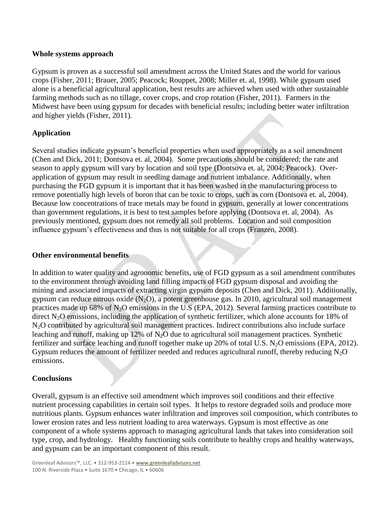#### **Whole systems approach**

Gypsum is proven as a successful soil amendment across the United States and the world for various crops (Fisher, 2011; Brauer, 2005; Peacock; Rouppet, 2008; Miller et. al, 1998). While gypsum used alone is a beneficial agricultural application, best results are achieved when used with other sustainable farming methods such as no tillage, cover crops, and crop rotation (Fisher, 2011). Farmers in the Midwest have been using gypsum for decades with beneficial results; including better water infiltration and higher yields (Fisher, 2011).

# **Application**

Several studies indicate gypsum's beneficial properties when used appropriately as a soil amendment (Chen and Dick, 2011; Dontsova et. al, 2004). Some precautions should be considered; the rate and season to apply gypsum will vary by location and soil type (Dontsova et. al, 2004; Peacock). Overapplication of gypsum may result in seedling damage and nutrient imbalance. Additionally, when purchasing the FGD gypsum it is important that it has been washed in the manufacturing process to remove potentially high levels of boron that can be toxic to crops, such as corn (Dontsova et. al, 2004). Because low concentrations of trace metals may be found in gypsum, generally at lower concentrations than government regulations, it is best to test samples before applying (Dontsova et. al, 2004). As previously mentioned, gypsum does not remedy all soil problems. Location and soil composition influence gypsum's effectiveness and thus is not suitable for all crops (Franzen, 2008).

## **Other environmental benefits**

In addition to water quality and agronomic benefits, use of FGD gypsum as a soil amendment contributes to the environment through avoiding land filling impacts of FGD gypsum disposal and avoiding the mining and associated impacts of extracting virgin gypsum deposits (Chen and Dick, 2011). Additionally, gypsum can reduce nitrous oxide  $(N_2O)$ , a potent greenhouse gas. In 2010, agricultural soil management practices made up 68% of N2O emissions in the U.S (EPA, 2012). Several farming practices contribute to direct  $N<sub>2</sub>O$  emissions, including the application of synthetic fertilizer, which alone accounts for 18% of N2O contributed by agricultural soil management practices. Indirect contributions also include surface leaching and runoff, making up 12% of  $N<sub>2</sub>O$  due to agricultural soil management practices. Synthetic fertilizer and surface leaching and runoff together make up 20% of total U.S.  $N_2O$  emissions (EPA, 2012). Gypsum reduces the amount of fertilizer needed and reduces agricultural runoff, thereby reducing  $N_2O$ emissions.

## **Conclusions**

Overall, gypsum is an effective soil amendment which improves soil conditions and their effective nutrient processing capabilities in certain soil types. It helps to restore degraded soils and produce more nutritious plants. Gypsum enhances water infiltration and improves soil composition, which contributes to lower erosion rates and less nutrient loading to area waterways. Gypsum is most effective as one component of a whole systems approach to managing agricultural lands that takes into consideration soil type, crop, and hydrology. Healthy functioning soils contribute to healthy crops and healthy waterways, and gypsum can be an important component of this result.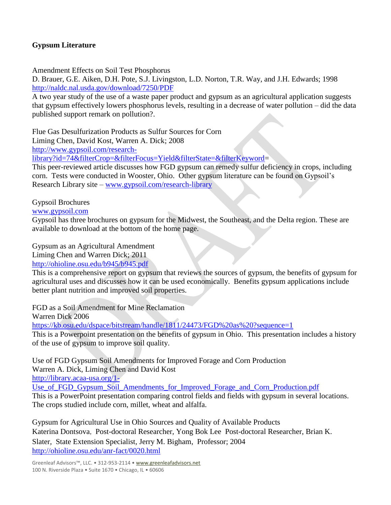# **Gypsum Literature**

Amendment Effects on Soil Test Phosphorus

D. Brauer, G.E. Aiken, D.H. Pote, S.J. Livingston, L.D. Norton, T.R. Way, and J.H. Edwards; 1998 <http://naldc.nal.usda.gov/download/7250/PDF>

A two year study of the use of a waste paper product and gypsum as an agricultural application suggests that gypsum effectively lowers phosphorus levels, resulting in a decrease of water pollution – did the data published support remark on pollution?.

Flue Gas Desulfurization Products as Sulfur Sources for Corn

Liming Chen, David Kost, Warren A. Dick; 2008

[http://www.gypsoil.com/research-](http://www.gypsoil.com/research-library?id=74&filterCrop=&filterFocus=Yield&filterState=&filterKeyword)

[library?id=74&filterCrop=&filterFocus=Yield&filterState=&filterKeyword=](http://www.gypsoil.com/research-library?id=74&filterCrop=&filterFocus=Yield&filterState=&filterKeyword)

This peer-reviewed article discusses how FGD gypsum can remedy sulfur deficiency in crops, including corn. Tests were conducted in Wooster, Ohio. Other gypsum literature can be found on Gypsoil's Research Library site – [www.gypsoil.com/research-library](http://www.gypsoil.com/research-library)

Gypsoil Brochures

[www.gypsoil.com](http://www.gypsoil.com/)

Gypsoil has three brochures on gypsum for the Midwest, the Southeast, and the Delta region. These are available to download at the bottom of the home page.

Gypsum as an Agricultural Amendment

Liming Chen and Warren Dick; 2011

<http://ohioline.osu.edu/b945/b945.pdf>

This is a comprehensive report on gypsum that reviews the sources of gypsum, the benefits of gypsum for agricultural uses and discusses how it can be used economically. Benefits gypsum applications include better plant nutrition and improved soil properties.

FGD as a Soil Amendment for Mine Reclamation

Warren Dick 2006

<https://kb.osu.edu/dspace/bitstream/handle/1811/24473/FGD%20as%20?sequence=1>

This is a Powerpoint presentation on the benefits of gypsum in Ohio. This presentation includes a history of the use of gypsum to improve soil quality.

Use of FGD Gypsum Soil Amendments for Improved Forage and Corn Production Warren A. Dick, Liming Chen and David Kos[t](http://library.acaa-usa.org/1-Use_of_FGD_Gypsum_Soil_Amendments_for_Improved_Forage_and_Corn_Production.pdf)

[http://library.acaa-usa.org/1-](http://library.acaa-usa.org/1-Use_of_FGD_Gypsum_Soil_Amendments_for_Improved_Forage_and_Corn_Production.pdf)

Use of FGD\_Gypsum\_Soil\_Amendments\_for\_Improved\_Forage\_and\_Corn\_Production.pdf This is a PowerPoint presentation comparing control fields and fields with gypsum in several locations. The crops studied include corn, millet, wheat and alfalfa.

Gypsum for Agricultural Use in Ohio Sources and Quality of Available Products Katerina Dontsova, Post-doctoral Researcher, Yong Bok Lee Post-doctoral Researcher, Brian K. Slater, State Extension Specialist, Jerry M. Bigham, Professor; 2004 <http://ohioline.osu.edu/anr-fact/0020.html>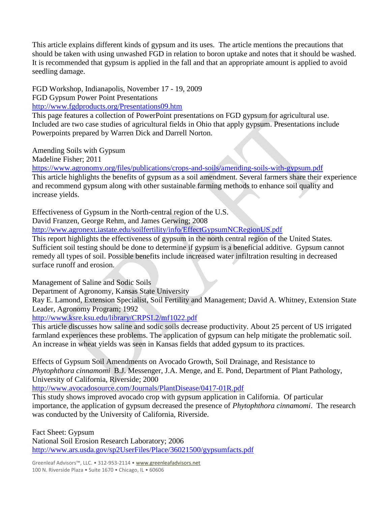This article explains different kinds of gypsum and its uses. The article mentions the precautions that should be taken with using unwashed FGD in relation to boron uptake and notes that it should be washed. It is recommended that gypsum is applied in the fall and that an appropriate amount is applied to avoid seedling damage.

FGD Workshop, Indianapolis, November 17 - 19, 2009

FGD Gypsum Power Point Presentations

<http://www.fgdproducts.org/Presentations09.htm>

This page features a collection of PowerPoint presentations on FGD gypsum for agricultural use. Included are two case studies of agricultural fields in Ohio that apply gypsum. Presentations include Powerpoints prepared by Warren Dick and Darrell Norton.

Amending Soils with Gypsum

Madeline Fisher; 2011

<https://www.agronomy.org/files/publications/crops-and-soils/amending-soils-with-gypsum.pdf> This article highlights the benefits of gypsum as a soil amendment. Several farmers share their experience and recommend gypsum along with other sustainable farming methods to enhance soil quality and increase yields.

Effectiveness of Gypsum in the North-central region of the U.S.

David Franzen, George Rehm, and James Gerwing; 2008

<http://www.agronext.iastate.edu/soilfertility/info/EffectGypsumNCRegionUS.pdf>

This report highlights the effectiveness of gypsum in the north central region of the United States. Sufficient soil testing should be done to determine if gypsum is a beneficial additive. Gypsum cannot remedy all types of soil. Possible benefits include increased water infiltration resulting in decreased surface runoff and erosion.

Management of Saline and Sodic Soils

Department of Agronomy, Kansas State University

Ray E. Lamond, Extension Specialist, Soil Fertility and Management; David A. Whitney, Extension State Leader, Agronomy Program; 1992

<http://www.ksre.ksu.edu/library/CRPSL2/mf1022.pdf>

This article discusses how saline and sodic soils decrease productivity. About 25 percent of US irrigated farmland experiences these problems. The application of gypsum can help mitigate the problematic soil. An increase in wheat yields was seen in Kansas fields that added gypsum to its practices.

Effects of Gypsum Soil Amendments on Avocado Growth, Soil Drainage, and Resistance to *Phytophthora cinnamomi* B.J. Messenger, J.A. Menge, and E. Pond, Department of Plant Pathology, University of California, Riverside; 2000

<http://www.avocadosource.com/Journals/PlantDisease/0417-01R.pdf>

This study shows improved avocado crop with gypsum application in California. Of particular importance, the application of gypsum decreased the presence of *Phytophthora cinnamomi*. The research was conducted by the University of California, Riverside.

Fact Sheet: Gypsum National Soil Erosion Research Laboratory; 2006 <http://www.ars.usda.gov/sp2UserFiles/Place/36021500/gypsumfacts.pdf>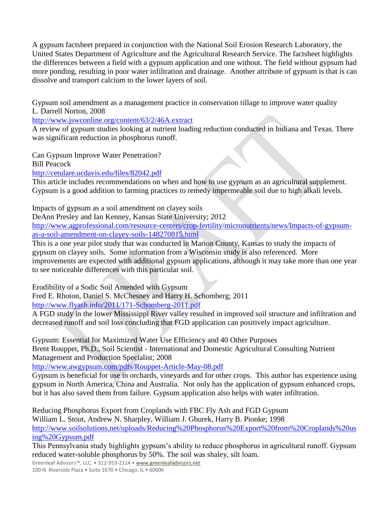A gypsum factsheet prepared in conjunction with the National Soil Erosion Research Laboratory, the United States Department of Agriculture and the Agricultural Research Service. The factsheet highlights the differences between a field with a gypsum application and one without. The field without gypsum had more ponding, resulting in poor water infiltration and drainage. Another attribute of gypsum is that is can dissolve and transport calcium to the lower layers of soil.

Gypsum soil amendment as a management practice in conservation tillage to improve water quality L. Darrell Norton, 2008

<http://www.jswconline.org/content/63/2/46A.extract>

A review of gypsum studies looking at nutrient loading reduction conducted in Indiana and Texas. There was significant reduction in phosphorus runoff.

Can Gypsum Improve Water Penetration? Bill Peacock

<http://cetulare.ucdavis.edu/files/82042.pdf>

This article includes recommendations on when and how to use gypsum as an agricultural supplement. Gypsum is a good addition to farming practices to remedy impermeable soil due to high alkali levels.

Impacts of gypsum as a soil amendment on clayey soils

DeAnn Presley and Ian Kenney, Kansas State University; 2012

[http://www.agprofessional.com/resource-centers/crop-fertility/micronutrients/news/Impacts-of-gypsum](http://www.agprofessional.com/resource-centers/crop-fertility/micronutrients/news/Impacts-of-gypsum-as-a-soil-amendment-on-clayey-soils-148270815.html)[as-a-soil-amendment-on-clayey-soils-148270815.html](http://www.agprofessional.com/resource-centers/crop-fertility/micronutrients/news/Impacts-of-gypsum-as-a-soil-amendment-on-clayey-soils-148270815.html)

This is a one year pilot study that was conducted in Marion County, Kansas to study the impacts of gypsum on clayey soils. Some information from a Wisconsin study is also referenced. More improvements are expected with additional gypsum applications, although it may take more than one year to see noticeable differences with this particular soil.

Erodibility of a Sodic Soil Amended with Gypsum

Fred E. Rhoton, Daniel S. McChesney and Harry H. Schomberg; 2011

<http://www.flyash.info/2011/171-Schomberg-2011.pdf>

A FGD study in the lower Mississippi River valley resulted in improved soil structure and infiltration and decreased runoff and soil loss concluding that FGD application can positively impact agriculture.

Gypsum: Essential for Maximized Water Use Efficiency and 40 Other Purposes Brent Rouppet, Ph.D., Soil Scientist - International and Domestic Agricultural Consulting Nutrient Management and Production Specialist; 2008

<http://www.awgypsum.com/pdfs/Rouppet-Article-May-08.pdf>

Gypsum is beneficial for use in orchards, vineyards and for other crops. This author has experience using gypsum in North America, China and Australia. Not only has the application of gypsum enhanced crops, but it has also saved them from failure. Gypsum application also helps with water infiltration.

Reducing Phosphorus Export from Croplands with FBC Fly Ash and FGD Gypsum William L. Stout, Andrew N. Sharpley, William J. Gburek, Harry B. Pionke; 1998 [http://www.soilsolutions.net/uploads/Reducing%20Phosphorus%20Export%20from%20Croplands%20us](http://www.soilsolutions.net/uploads/Reducing%20Phosphorus%20Export%20from%20Croplands%20using%20Gypsum.pdf) [ing%20Gypsum.pdf](http://www.soilsolutions.net/uploads/Reducing%20Phosphorus%20Export%20from%20Croplands%20using%20Gypsum.pdf)

This Pennsylvania study highlights gypsum's ability to reduce phosphorus in agricultural runoff. Gypsum reduced water-soluble phosphorus by 50%. The soil was shaley, silt loam.